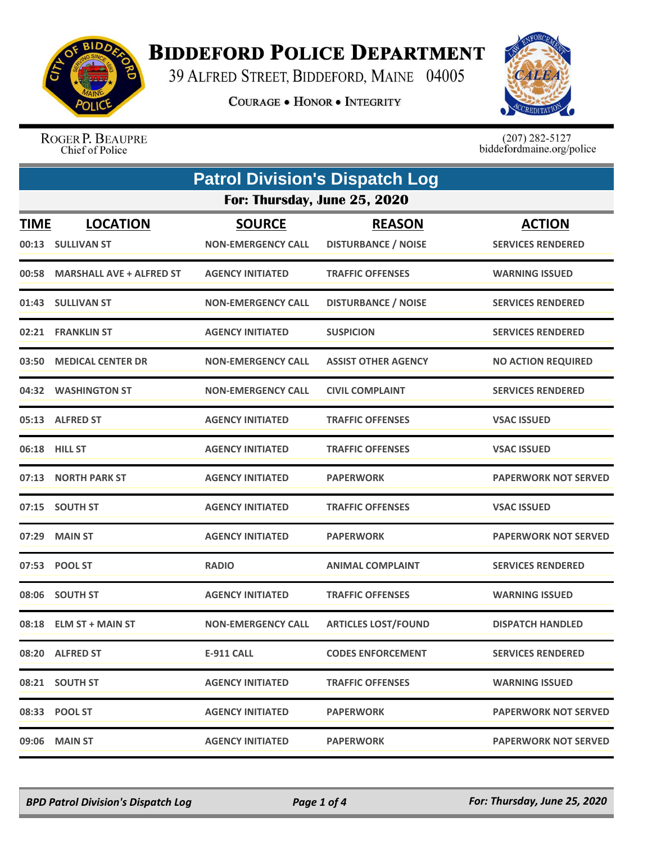

## **BIDDEFORD POLICE DEPARTMENT**

39 ALFRED STREET, BIDDEFORD, MAINE 04005

**COURAGE . HONOR . INTEGRITY** 



ROGER P. BEAUPRE Chief of Police

 $(207)$  282-5127<br>biddefordmaine.org/police

|                      | <b>Patrol Division's Dispatch Log</b> |                                            |                                             |                                           |  |
|----------------------|---------------------------------------|--------------------------------------------|---------------------------------------------|-------------------------------------------|--|
|                      |                                       | For: Thursday, June 25, 2020               |                                             |                                           |  |
| <b>TIME</b><br>00:13 | <b>LOCATION</b><br><b>SULLIVAN ST</b> | <b>SOURCE</b><br><b>NON-EMERGENCY CALL</b> | <b>REASON</b><br><b>DISTURBANCE / NOISE</b> | <b>ACTION</b><br><b>SERVICES RENDERED</b> |  |
| 00:58                | <b>MARSHALL AVE + ALFRED ST</b>       | <b>AGENCY INITIATED</b>                    | <b>TRAFFIC OFFENSES</b>                     | <b>WARNING ISSUED</b>                     |  |
|                      | 01:43 SULLIVAN ST                     | <b>NON-EMERGENCY CALL</b>                  | <b>DISTURBANCE / NOISE</b>                  | <b>SERVICES RENDERED</b>                  |  |
|                      | 02:21 FRANKLIN ST                     | <b>AGENCY INITIATED</b>                    | <b>SUSPICION</b>                            | <b>SERVICES RENDERED</b>                  |  |
| 03:50                | <b>MEDICAL CENTER DR</b>              | <b>NON-EMERGENCY CALL</b>                  | <b>ASSIST OTHER AGENCY</b>                  | <b>NO ACTION REQUIRED</b>                 |  |
|                      | 04:32 WASHINGTON ST                   | <b>NON-EMERGENCY CALL</b>                  | <b>CIVIL COMPLAINT</b>                      | <b>SERVICES RENDERED</b>                  |  |
|                      | 05:13 ALFRED ST                       | <b>AGENCY INITIATED</b>                    | <b>TRAFFIC OFFENSES</b>                     | <b>VSAC ISSUED</b>                        |  |
| 06:18                | <b>HILL ST</b>                        | <b>AGENCY INITIATED</b>                    | <b>TRAFFIC OFFENSES</b>                     | <b>VSAC ISSUED</b>                        |  |
| 07:13                | <b>NORTH PARK ST</b>                  | <b>AGENCY INITIATED</b>                    | <b>PAPERWORK</b>                            | <b>PAPERWORK NOT SERVED</b>               |  |
|                      | 07:15 SOUTH ST                        | <b>AGENCY INITIATED</b>                    | <b>TRAFFIC OFFENSES</b>                     | <b>VSAC ISSUED</b>                        |  |
|                      | 07:29 MAIN ST                         | <b>AGENCY INITIATED</b>                    | <b>PAPERWORK</b>                            | <b>PAPERWORK NOT SERVED</b>               |  |
|                      | 07:53 POOL ST                         | <b>RADIO</b>                               | <b>ANIMAL COMPLAINT</b>                     | <b>SERVICES RENDERED</b>                  |  |
|                      | 08:06 SOUTH ST                        | <b>AGENCY INITIATED</b>                    | <b>TRAFFIC OFFENSES</b>                     | <b>WARNING ISSUED</b>                     |  |
|                      | 08:18 ELM ST + MAIN ST                | <b>NON-EMERGENCY CALL</b>                  | <b>ARTICLES LOST/FOUND</b>                  | <b>DISPATCH HANDLED</b>                   |  |
|                      | 08:20 ALFRED ST                       | <b>E-911 CALL</b>                          | <b>CODES ENFORCEMENT</b>                    | <b>SERVICES RENDERED</b>                  |  |
|                      | 08:21 SOUTH ST                        | <b>AGENCY INITIATED</b>                    | <b>TRAFFIC OFFENSES</b>                     | <b>WARNING ISSUED</b>                     |  |
|                      | 08:33 POOL ST                         | <b>AGENCY INITIATED</b>                    | <b>PAPERWORK</b>                            | <b>PAPERWORK NOT SERVED</b>               |  |
|                      | 09:06 MAIN ST                         | <b>AGENCY INITIATED</b>                    | <b>PAPERWORK</b>                            | <b>PAPERWORK NOT SERVED</b>               |  |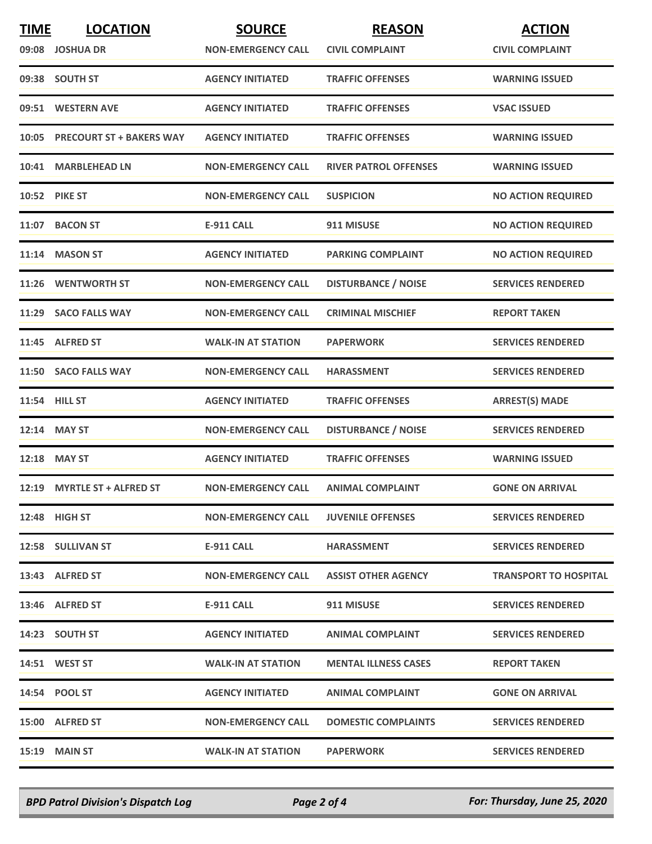| <b>TIME</b> | <b>LOCATION</b>                | <b>SOURCE</b>             | <b>REASON</b>                | <b>ACTION</b>                |
|-------------|--------------------------------|---------------------------|------------------------------|------------------------------|
|             | 09:08 JOSHUA DR                | <b>NON-EMERGENCY CALL</b> | <b>CIVIL COMPLAINT</b>       | <b>CIVIL COMPLAINT</b>       |
|             | 09:38 SOUTH ST                 | <b>AGENCY INITIATED</b>   | <b>TRAFFIC OFFENSES</b>      | <b>WARNING ISSUED</b>        |
|             | 09:51 WESTERN AVE              | <b>AGENCY INITIATED</b>   | <b>TRAFFIC OFFENSES</b>      | <b>VSAC ISSUED</b>           |
|             | 10:05 PRECOURT ST + BAKERS WAY | <b>AGENCY INITIATED</b>   | <b>TRAFFIC OFFENSES</b>      | <b>WARNING ISSUED</b>        |
| 10:41       | <b>MARBLEHEAD LN</b>           | <b>NON-EMERGENCY CALL</b> | <b>RIVER PATROL OFFENSES</b> | <b>WARNING ISSUED</b>        |
|             | <b>10:52 PIKE ST</b>           | <b>NON-EMERGENCY CALL</b> | <b>SUSPICION</b>             | <b>NO ACTION REQUIRED</b>    |
|             | 11:07 BACON ST                 | <b>E-911 CALL</b>         | 911 MISUSE                   | <b>NO ACTION REQUIRED</b>    |
|             | 11:14 MASON ST                 | <b>AGENCY INITIATED</b>   | <b>PARKING COMPLAINT</b>     | <b>NO ACTION REQUIRED</b>    |
|             | 11:26 WENTWORTH ST             | <b>NON-EMERGENCY CALL</b> | <b>DISTURBANCE / NOISE</b>   | <b>SERVICES RENDERED</b>     |
| 11:29       | <b>SACO FALLS WAY</b>          | <b>NON-EMERGENCY CALL</b> | <b>CRIMINAL MISCHIEF</b>     | <b>REPORT TAKEN</b>          |
|             | 11:45 ALFRED ST                | <b>WALK-IN AT STATION</b> | <b>PAPERWORK</b>             | <b>SERVICES RENDERED</b>     |
|             | 11:50 SACO FALLS WAY           | <b>NON-EMERGENCY CALL</b> | <b>HARASSMENT</b>            | <b>SERVICES RENDERED</b>     |
|             | 11:54 HILL ST                  | <b>AGENCY INITIATED</b>   | <b>TRAFFIC OFFENSES</b>      | <b>ARREST(S) MADE</b>        |
|             | 12:14 MAY ST                   | <b>NON-EMERGENCY CALL</b> | <b>DISTURBANCE / NOISE</b>   | <b>SERVICES RENDERED</b>     |
|             | 12:18 MAY ST                   | <b>AGENCY INITIATED</b>   | <b>TRAFFIC OFFENSES</b>      | <b>WARNING ISSUED</b>        |
|             | 12:19 MYRTLE ST + ALFRED ST    | <b>NON-EMERGENCY CALL</b> | <b>ANIMAL COMPLAINT</b>      | <b>GONE ON ARRIVAL</b>       |
|             | 12:48 HIGH ST                  | <b>NON-EMERGENCY CALL</b> | <b>JUVENILE OFFENSES</b>     | <b>SERVICES RENDERED</b>     |
|             | 12:58 SULLIVAN ST              | E-911 CALL                | <b>HARASSMENT</b>            | <b>SERVICES RENDERED</b>     |
|             | 13:43 ALFRED ST                | <b>NON-EMERGENCY CALL</b> | <b>ASSIST OTHER AGENCY</b>   | <b>TRANSPORT TO HOSPITAL</b> |
|             | 13:46 ALFRED ST                | E-911 CALL                | 911 MISUSE                   | <b>SERVICES RENDERED</b>     |
|             | 14:23 SOUTH ST                 | <b>AGENCY INITIATED</b>   | <b>ANIMAL COMPLAINT</b>      | <b>SERVICES RENDERED</b>     |
|             | <b>14:51 WEST ST</b>           | <b>WALK-IN AT STATION</b> | <b>MENTAL ILLNESS CASES</b>  | <b>REPORT TAKEN</b>          |
|             | 14:54 POOL ST                  | <b>AGENCY INITIATED</b>   | <b>ANIMAL COMPLAINT</b>      | <b>GONE ON ARRIVAL</b>       |
|             | 15:00 ALFRED ST                | <b>NON-EMERGENCY CALL</b> | <b>DOMESTIC COMPLAINTS</b>   | <b>SERVICES RENDERED</b>     |
|             | <b>15:19 MAIN ST</b>           | <b>WALK-IN AT STATION</b> | <b>PAPERWORK</b>             | <b>SERVICES RENDERED</b>     |

*BPD Patrol Division's Dispatch Log Page 2 of 4 For: Thursday, June 25, 2020*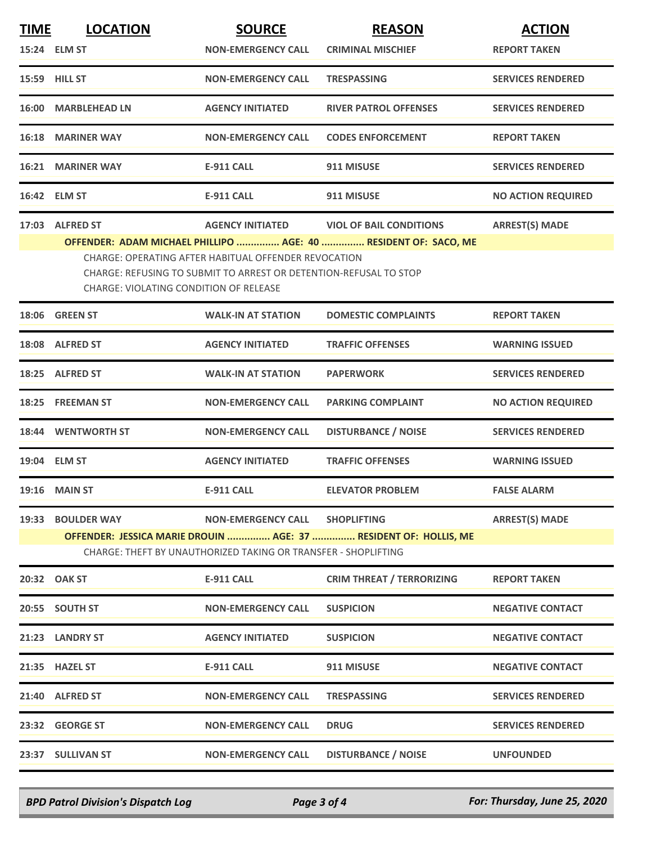| <b>TIME</b> | <b>LOCATION</b>                               | <b>SOURCE</b>                                                                                                             | <b>REASON</b>                                                    | <b>ACTION</b>             |
|-------------|-----------------------------------------------|---------------------------------------------------------------------------------------------------------------------------|------------------------------------------------------------------|---------------------------|
|             | 15:24 ELM ST                                  | <b>NON-EMERGENCY CALL</b>                                                                                                 | <b>CRIMINAL MISCHIEF</b>                                         | <b>REPORT TAKEN</b>       |
|             | 15:59 HILL ST                                 | <b>NON-EMERGENCY CALL</b>                                                                                                 | <b>TRESPASSING</b>                                               | <b>SERVICES RENDERED</b>  |
|             | 16:00 MARBLEHEAD LN                           | <b>AGENCY INITIATED</b>                                                                                                   | <b>RIVER PATROL OFFENSES</b>                                     | <b>SERVICES RENDERED</b>  |
|             | <b>16:18 MARINER WAY</b>                      | <b>NON-EMERGENCY CALL</b>                                                                                                 | <b>CODES ENFORCEMENT</b>                                         | <b>REPORT TAKEN</b>       |
|             | 16:21 MARINER WAY                             | <b>E-911 CALL</b>                                                                                                         | 911 MISUSE                                                       | <b>SERVICES RENDERED</b>  |
|             | 16:42 ELM ST                                  | E-911 CALL                                                                                                                | 911 MISUSE                                                       | <b>NO ACTION REQUIRED</b> |
|             | 17:03 ALFRED ST                               |                                                                                                                           | AGENCY INITIATED VIOL OF BAIL CONDITIONS                         | <b>ARREST(S) MADE</b>     |
|             |                                               |                                                                                                                           | OFFENDER: ADAM MICHAEL PHILLIPO  AGE: 40  RESIDENT OF: SACO, ME  |                           |
|             | <b>CHARGE: VIOLATING CONDITION OF RELEASE</b> | CHARGE: OPERATING AFTER HABITUAL OFFENDER REVOCATION<br>CHARGE: REFUSING TO SUBMIT TO ARREST OR DETENTION-REFUSAL TO STOP |                                                                  |                           |
|             | 18:06 GREEN ST                                | <b>WALK-IN AT STATION</b>                                                                                                 | <b>DOMESTIC COMPLAINTS</b>                                       | <b>REPORT TAKEN</b>       |
|             | 18:08 ALFRED ST                               | <b>AGENCY INITIATED</b>                                                                                                   | <b>TRAFFIC OFFENSES</b>                                          | <b>WARNING ISSUED</b>     |
|             | 18:25 ALFRED ST                               | <b>WALK-IN AT STATION</b>                                                                                                 | <b>PAPERWORK</b>                                                 | <b>SERVICES RENDERED</b>  |
|             | 18:25 FREEMAN ST                              | <b>NON-EMERGENCY CALL</b>                                                                                                 | <b>PARKING COMPLAINT</b>                                         | <b>NO ACTION REQUIRED</b> |
|             | 18:44 WENTWORTH ST                            | <b>NON-EMERGENCY CALL</b>                                                                                                 | <b>DISTURBANCE / NOISE</b>                                       | <b>SERVICES RENDERED</b>  |
|             | 19:04 ELM ST                                  | <b>AGENCY INITIATED</b>                                                                                                   | <b>TRAFFIC OFFENSES</b>                                          | <b>WARNING ISSUED</b>     |
|             | <b>19:16 MAIN ST</b>                          | <b>E-911 CALL</b>                                                                                                         | <b>ELEVATOR PROBLEM</b>                                          | <b>FALSE ALARM</b>        |
|             | 19:33 BOULDER WAY                             | NON-EMERGENCY CALL SHOPLIFTING                                                                                            |                                                                  | <b>ARREST(S) MADE</b>     |
|             |                                               |                                                                                                                           | OFFENDER: JESSICA MARIE DROUIN  AGE: 37  RESIDENT OF: HOLLIS, ME |                           |
|             |                                               | CHARGE: THEFT BY UNAUTHORIZED TAKING OR TRANSFER - SHOPLIFTING                                                            |                                                                  |                           |
|             | 20:32 OAK ST                                  | E-911 CALL                                                                                                                | <b>CRIM THREAT / TERRORIZING</b>                                 | <b>REPORT TAKEN</b>       |
|             | 20:55 SOUTH ST                                | <b>NON-EMERGENCY CALL</b>                                                                                                 | <b>SUSPICION</b>                                                 | <b>NEGATIVE CONTACT</b>   |
|             | 21:23 LANDRY ST                               | <b>AGENCY INITIATED</b>                                                                                                   | <b>SUSPICION</b>                                                 | <b>NEGATIVE CONTACT</b>   |
|             | 21:35 HAZEL ST                                | <b>E-911 CALL</b>                                                                                                         | 911 MISUSE                                                       | <b>NEGATIVE CONTACT</b>   |
|             | 21:40 ALFRED ST                               | <b>NON-EMERGENCY CALL</b>                                                                                                 | <b>TRESPASSING</b>                                               | <b>SERVICES RENDERED</b>  |
|             | 23:32 GEORGE ST                               | <b>NON-EMERGENCY CALL</b>                                                                                                 | <b>DRUG</b>                                                      | <b>SERVICES RENDERED</b>  |
|             | 23:37 SULLIVAN ST                             | <b>NON-EMERGENCY CALL</b>                                                                                                 | <b>DISTURBANCE / NOISE</b>                                       | <b>UNFOUNDED</b>          |
|             |                                               |                                                                                                                           |                                                                  |                           |

*BPD Patrol Division's Dispatch Log Page 3 of 4 For: Thursday, June 25, 2020*